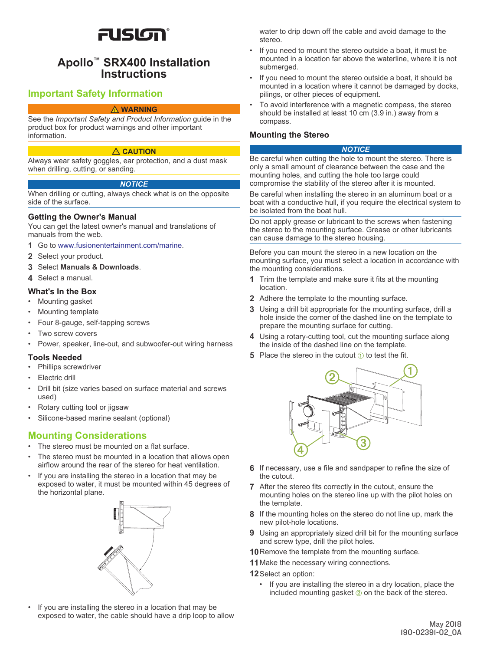# FUSION®

# **Apollo™ SRX400 Installation Instructions**

# **Important Safety Information**

#### **WARNING**

See the *Important Safety and Product Information* guide in the product box for product warnings and other important information.

#### **CAUTION**

Always wear safety goggles, ear protection, and a dust mask when drilling, cutting, or sanding.

#### *NOTICE*

When drilling or cutting, always check what is on the opposite side of the surface.

#### **Getting the Owner's Manual**

You can get the latest owner's manual and translations of manuals from the web.

- **1** Go to [www.fusionentertainment.com/marine](http://www.fusionentertainment.com/marine).
- **2** Select your product.
- **3** Select **Manuals & Downloads**.
- **4** Select a manual.

## **What's In the Box**

- Mounting gasket
- Mounting template
- Four 8-gauge, self-tapping screws
- Two screw covers
- Power, speaker, line-out, and subwoofer-out wiring harness

## **Tools Needed**

- Phillips screwdriver
- **Electric drill**
- Drill bit (size varies based on surface material and screws used)
- Rotary cutting tool or jigsaw
- Silicone-based marine sealant (optional)

# **Mounting Considerations**

- The stereo must be mounted on a flat surface.
- The stereo must be mounted in a location that allows open airflow around the rear of the stereo for heat ventilation.
- If you are installing the stereo in a location that may be exposed to water, it must be mounted within 45 degrees of the horizontal plane.



If you are installing the stereo in a location that may be exposed to water, the cable should have a drip loop to allow water to drip down off the cable and avoid damage to the stereo.

- If you need to mount the stereo outside a boat, it must be mounted in a location far above the waterline, where it is not submerged.
- If you need to mount the stereo outside a boat, it should be mounted in a location where it cannot be damaged by docks, pilings, or other pieces of equipment.
- To avoid interference with a magnetic compass, the stereo should be installed at least 10 cm (3.9 in.) away from a compass.

#### **Mounting the Stereo**

#### *NOTICE*

Be careful when cutting the hole to mount the stereo. There is only a small amount of clearance between the case and the mounting holes, and cutting the hole too large could compromise the stability of the stereo after it is mounted.

Be careful when installing the stereo in an aluminum boat or a boat with a conductive hull, if you require the electrical system to be isolated from the boat hull.

Do not apply grease or lubricant to the screws when fastening the stereo to the mounting surface. Grease or other lubricants can cause damage to the stereo housing.

Before you can mount the stereo in a new location on the mounting surface, you must select a location in accordance with the mounting considerations.

- **1** Trim the template and make sure it fits at the mounting location.
- **2** Adhere the template to the mounting surface.
- **3** Using a drill bit appropriate for the mounting surface, drill a hole inside the corner of the dashed line on the template to prepare the mounting surface for cutting.
- **4** Using a rotary-cutting tool, cut the mounting surface along the inside of the dashed line on the template.
- **5** Place the stereo in the cutout  $\theta$  to test the fit.



- **6** If necessary, use a file and sandpaper to refine the size of the cutout.
- **7** After the stereo fits correctly in the cutout, ensure the mounting holes on the stereo line up with the pilot holes on the template.
- **8** If the mounting holes on the stereo do not line up, mark the new pilot-hole locations.
- **9** Using an appropriately sized drill bit for the mounting surface and screw type, drill the pilot holes.
- **10**Remove the template from the mounting surface.
- **11**Make the necessary wiring connections.
- **12**Select an option:
	- If you are installing the stereo in a dry location, place the included mounting gasket  $\oslash$  on the back of the stereo.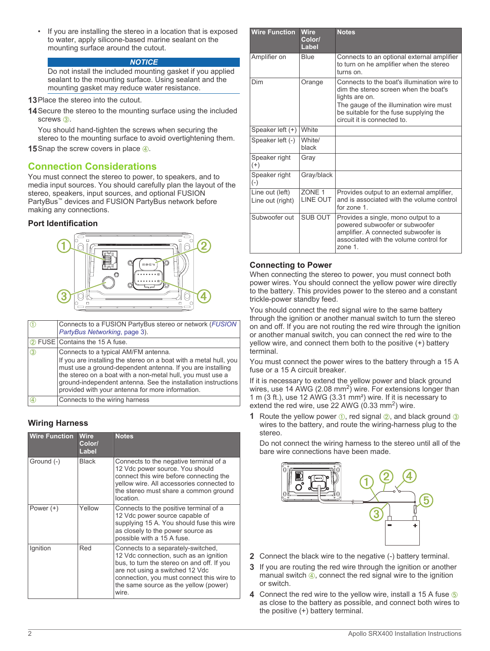If you are installing the stereo in a location that is exposed to water, apply silicone-based marine sealant on the mounting surface around the cutout.

#### *NOTICE*

Do not install the included mounting gasket if you applied sealant to the mounting surface. Using sealant and the mounting gasket may reduce water resistance.

- **13** Place the stereo into the cutout.
- **14**Secure the stereo to the mounting surface using the included screws **a**.

You should hand-tighten the screws when securing the stereo to the mounting surface to avoid overtightening them.

**15** Snap the screw covers in place  $\overline{a}$ .

# **Connection Considerations**

You must connect the stereo to power, to speakers, and to media input sources. You should carefully plan the layout of the stereo, speakers, input sources, and optional FUSION PartyBus™ devices and FUSION PartyBus network before making any connections.

# **Port Identification**



|               | Connects to a FUSION PartyBus stereo or network (FUSION<br>PartyBus Networking, page 3).                                                                                                                                                                                                                                                                   |
|---------------|------------------------------------------------------------------------------------------------------------------------------------------------------------------------------------------------------------------------------------------------------------------------------------------------------------------------------------------------------------|
|               | 2 FUSE Contains the 15 A fuse.                                                                                                                                                                                                                                                                                                                             |
| (3)           | Connects to a typical AM/FM antenna.<br>If you are installing the stereo on a boat with a metal hull, you<br>must use a ground-dependent antenna. If you are installing<br>the stereo on a boat with a non-metal hull, you must use a<br>ground-independent antenna. See the installation instructions<br>provided with your antenna for more information. |
| $\circled{4}$ | Connects to the wiring harness                                                                                                                                                                                                                                                                                                                             |

# **Wiring Harness**

| <b>Wire Function</b> | <b>Wire</b><br>Color/<br>Label | <b>Notes</b>                                                                                                                                                                                                                                                 |
|----------------------|--------------------------------|--------------------------------------------------------------------------------------------------------------------------------------------------------------------------------------------------------------------------------------------------------------|
| Ground (-)           | Black                          | Connects to the negative terminal of a<br>12 Vdc power source. You should<br>connect this wire before connecting the<br>yellow wire. All accessories connected to<br>the stereo must share a common ground<br>location                                       |
| Power $(+)$          | Yellow                         | Connects to the positive terminal of a<br>12 Vdc power source capable of<br>supplying 15 A. You should fuse this wire<br>as closely to the power source as<br>possible with a 15 A fuse.                                                                     |
| Ignition             | Red                            | Connects to a separately-switched,<br>12 Vdc connection, such as an ignition<br>bus, to turn the stereo on and off. If you<br>are not using a switched 12 Vdc<br>connection, you must connect this wire to<br>the same source as the yellow (power)<br>wire. |

| <b>Wire Function</b>                | <b>Wire</b><br>Color/<br>Label       | <b>Notes</b>                                                                                                                                                                                                               |
|-------------------------------------|--------------------------------------|----------------------------------------------------------------------------------------------------------------------------------------------------------------------------------------------------------------------------|
| Amplifier on                        | Blue                                 | Connects to an optional external amplifier<br>to turn on he amplifier when the stereo<br>turns on.                                                                                                                         |
| Dim                                 | Orange                               | Connects to the boat's illumination wire to<br>dim the stereo screen when the boat's<br>lights are on.<br>The gauge of the illumination wire must<br>be suitable for the fuse supplying the<br>circuit it is connected to. |
| Speaker left $(+)$                  | <b>White</b>                         |                                                                                                                                                                                                                            |
| Speaker left (-)                    | White/<br>black                      |                                                                                                                                                                                                                            |
| Speaker right<br>$(+)$              | Gray                                 |                                                                                                                                                                                                                            |
| Speaker right<br>$(-)$              | Gray/black                           |                                                                                                                                                                                                                            |
| Line out (left)<br>Line out (right) | ZONE <sub>1</sub><br><b>LINE OUT</b> | Provides output to an external amplifier,<br>and is associated with the volume control<br>for zone 1.                                                                                                                      |
| Subwoofer out                       | SUB OUT                              | Provides a single, mono output to a<br>powered subwoofer or subwoofer<br>amplifier. A connected subwoofer is<br>associated with the volume control for<br>zone 1.                                                          |

# **Connecting to Power**

When connecting the stereo to power, you must connect both power wires. You should connect the yellow power wire directly to the battery. This provides power to the stereo and a constant trickle-power standby feed.

You should connect the red signal wire to the same battery through the ignition or another manual switch to turn the stereo on and off. If you are not routing the red wire through the ignition or another manual switch, you can connect the red wire to the yellow wire, and connect them both to the positive (+) battery terminal.

You must connect the power wires to the battery through a 15 A fuse or a 15 A circuit breaker.

If it is necessary to extend the yellow power and black ground wires, use 14 AWG  $(2.08 \text{ mm}^2)$  wire. For extensions longer than 1 m (3 ft.), use 12 AWG (3.31 mm²) wire. If it is necessary to extend the red wire, use 22 AWG (0.33 mm<sup>2</sup>) wire.

**1** Route the yellow power  $(1)$ , red signal  $(2)$ , and black ground  $(3)$ wires to the battery, and route the wiring-harness plug to the stereo.

Do not connect the wiring harness to the stereo until all of the bare wire connections have been made.



- **2** Connect the black wire to the negative (-) battery terminal.
- **3** If you are routing the red wire through the ignition or another manual switch  $\overline{A}$ , connect the red signal wire to the ignition or switch.
- **4** Connect the red wire to the yellow wire, install a 15 A fuse  $\circledcirc$ as close to the battery as possible, and connect both wires to the positive (+) battery terminal.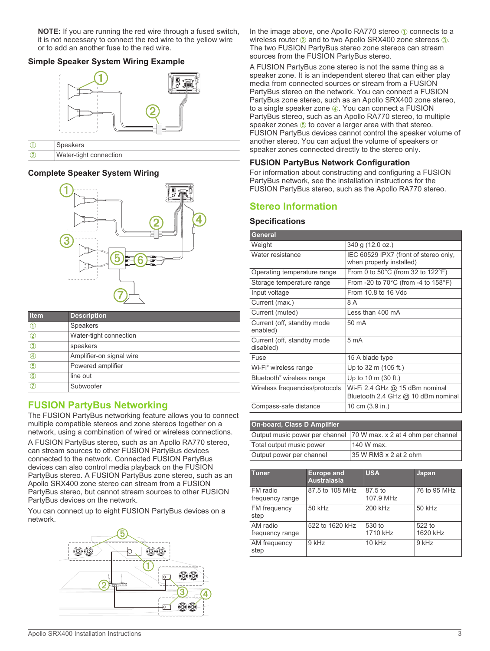<span id="page-2-0"></span>**NOTE:** If you are running the red wire through a fused switch, it is not necessary to connect the red wire to the yellow wire or to add an another fuse to the red wire.

# **Simple Speaker System Wiring Example**



**2** Water-tight connection

# **Complete Speaker System Wiring**



| Item          | <b>Description</b>       |
|---------------|--------------------------|
|               | Speakers                 |
| (2)           | Water-tight connection   |
| $\circled{3}$ | speakers                 |
| 4             | Amplifier-on signal wire |
| $\circledS$   | Powered amplifier        |
| 6             | line out                 |
| 7             | Subwoofer                |

# **FUSION PartyBus Networking**

The FUSION PartyBus networking feature allows you to connect multiple compatible stereos and zone stereos together on a network, using a combination of wired or wireless connections.

A FUSION PartyBus stereo, such as an Apollo RA770 stereo, can stream sources to other FUSION PartyBus devices connected to the network. Connected FUSION PartyBus devices can also control media playback on the FUSION PartyBus stereo. A FUSION PartyBus zone stereo, such as an Apollo SRX400 zone stereo can stream from a FUSION PartyBus stereo, but cannot stream sources to other FUSION PartyBus devices on the network.

You can connect up to eight FUSION PartyBus devices on a network.



In the image above, one Apollo RA770 stereo  $\odot$  connects to a wireless router  $@$  and to two Apollo SRX400 zone stereos  $@$ . The two FUSION PartyBus stereo zone stereos can stream sources from the FUSION PartyBus stereo.

A FUSION PartyBus zone stereo is not the same thing as a speaker zone. It is an independent stereo that can either play media from connected sources or stream from a FUSION PartyBus stereo on the network. You can connect a FUSION PartyBus zone stereo, such as an Apollo SRX400 zone stereo, to a single speaker zone 4. You can connect a FUSION PartyBus stereo, such as an Apollo RA770 stereo, to multiple speaker zones  $\circledS$  to cover a larger area with that stereo. FUSION PartyBus devices cannot control the speaker volume of another stereo. You can adjust the volume of speakers or speaker zones connected directly to the stereo only.

# **FUSION PartyBus Network Configuration**

For information about constructing and configuring a FUSION PartyBus network, see the installation instructions for the FUSION PartyBus stereo, such as the Apollo RA770 stereo.

# **Stereo Information**

## **Specifications**

| General                                 |                                                                      |  |
|-----------------------------------------|----------------------------------------------------------------------|--|
| Weight                                  | 340 g (12.0 oz.)                                                     |  |
| Water resistance                        | IEC 60529 IPX7 (front of stereo only,<br>when properly installed)    |  |
| Operating temperature range             | From 0 to $50^{\circ}$ C (from 32 to $122^{\circ}$ F)                |  |
| Storage temperature range               | From -20 to $70^{\circ}$ C (from -4 to $158^{\circ}$ F)              |  |
| Input voltage                           | From 10.8 to 16 Vdc                                                  |  |
| Current (max.)                          | 8 A                                                                  |  |
| Current (muted)                         | Less than 400 mA                                                     |  |
| Current (off, standby mode<br>enabled)  | 50 mA                                                                |  |
| Current (off, standby mode<br>disabled) | 5 <sub>mA</sub>                                                      |  |
| Fuse                                    | 15 A blade type                                                      |  |
| Wi-Fi <sup>®</sup> wireless range       | Up to 32 m (105 ft.)                                                 |  |
| Bluetooth <sup>®</sup> wireless range   | Up to 10 m (30 ft.)                                                  |  |
| Wireless frequencies/protocols          | Wi-Fi 2.4 GHz @ 15 dBm nominal<br>Bluetooth 2.4 GHz @ 10 dBm nominal |  |
| Compass-safe distance                   | 10 cm (3.9 in.)                                                      |  |

| <b>On-board, Class D Amplifier</b> |                                                                   |  |
|------------------------------------|-------------------------------------------------------------------|--|
|                                    | Output music power per channel 70 W max. x 2 at 4 ohm per channel |  |
| Total output music power           | 140 W max.                                                        |  |
| Output power per channel           | 35 W RMS x 2 at 2 ohm                                             |  |

| <b>Tuner</b>                | <b>Europe and</b><br><b>Australasia</b> | <b>USA</b>           | Japan              |
|-----------------------------|-----------------------------------------|----------------------|--------------------|
| FM radio<br>frequency range | 87.5 to 108 MHz                         | 87.5 to<br>107.9 MHz | 76 to 95 MHz       |
| FM frequency<br>step        | 50 kHz                                  | 200 kHz              | 50 kHz             |
| AM radio<br>frequency range | 522 to 1620 kHz                         | 530 to<br>1710 kHz   | 522 to<br>1620 kHz |
| AM frequency<br>step        | 9 kHz                                   | $10$ kHz             | 9 kHz              |